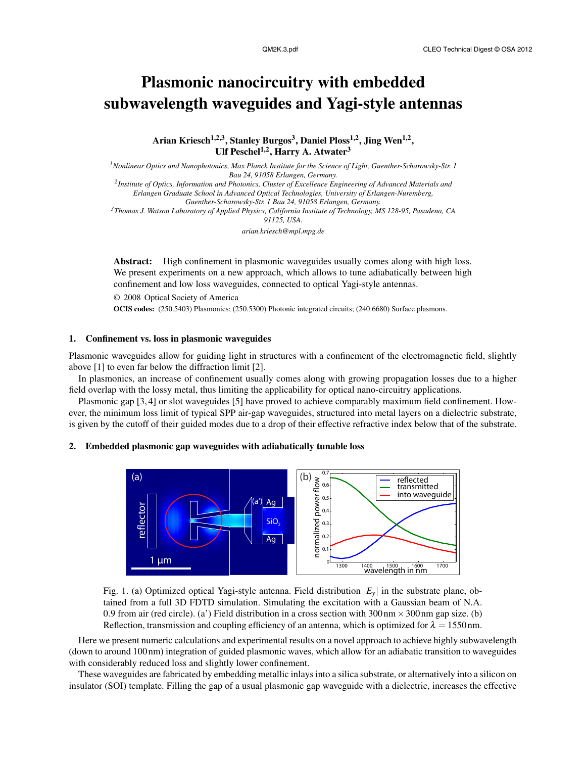# Plasmonic nanocircuitry with embedded subwavelength waveguides and Yagi-style antennas

Arian Kriesch<sup>1,2,3</sup>, Stanley Burgos<sup>3</sup>, Daniel Ploss<sup>1,2</sup>, Jing Wen<sup>1,2</sup>, Ulf Peschel<sup>1,2</sup>, Harry A. Atwater<sup>3</sup>

*<sup>1</sup>Nonlinear Optics and Nanophotonics, Max Planck Institute for the Science of Light, Guenther-Scharowsky-Str. 1 Bau 24, 91058 Erlangen, Germany. 2 Institute of Optics, Information and Photonics, Cluster of Excellence Engineering of Advanced Materials and Erlangen Graduate School in Advanced Optical Technologies, University of Erlangen-Nuremberg, Guenther-Scharowsky-Str. 1 Bau 24, 91058 Erlangen, Germany. <sup>3</sup>Thomas J. Watson Laboratory of Applied Physics, California Institute of Technology, MS 128-95, Pasadena, CA 91125, USA. arian.kriesch@mpl.mpg.de*

Abstract: High confinement in plasmonic waveguides usually comes along with high loss. We present experiments on a new approach, which allows to tune adiabatically between high confinement and low loss waveguides, connected to optical Yagi-style antennas.

© 2008 Optical Society of America OCIS codes: (250.5403) Plasmonics; (250.5300) Photonic integrated circuits; (240.6680) Surface plasmons.

## 1. Confinement vs. loss in plasmonic waveguides

Plasmonic waveguides allow for guiding light in structures with a confinement of the electromagnetic field, slightly above [1] to even far below the diffraction limit [2].

In plasmonics, an increase of confinement usually comes along with growing propagation losses due to a higher field overlap with the lossy metal, thus limiting the applicability for optical nano-circuitry applications.

Plasmonic gap [3, 4] or slot waveguides [5] have proved to achieve comparably maximum field confinement. However, the minimum loss limit of typical SPP air-gap waveguides, structured into metal layers on a dielectric substrate, is given by the cutoff of their guided modes due to a drop of their effective refractive index below that of the substrate.

#### 2. Embedded plasmonic gap waveguides with adiabatically tunable loss



Fig. 1. (a) Optimized optical Yagi-style antenna. Field distribution  $|E_y|$  in the substrate plane, obtained from a full 3D FDTD simulation. Simulating the excitation with a Gaussian beam of N.A. 0.9 from air (red circle). (a') Field distribution in a cross section with  $300 \text{ nm} \times 300 \text{ nm}$  gap size. (b) Reflection, transmission and coupling efficiency of an antenna, which is optimized for  $\lambda = 1550$  nm.

Here we present numeric calculations and experimental results on a novel approach to achieve highly subwavelength (down to around 100 nm) integration of guided plasmonic waves, which allow for an adiabatic transition to waveguides with considerably reduced loss and slightly lower confinement.

These waveguides are fabricated by embedding metallic inlays into a silica substrate, or alternatively into a silicon on insulator (SOI) template. Filling the gap of a usual plasmonic gap waveguide with a dielectric, increases the effective